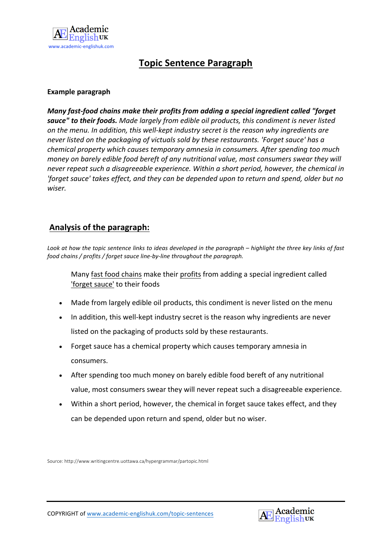

## **Topic Sentence Paragraph**

#### **Example paragraph**

*Many fast-food chains make their profits from adding a special ingredient called "forget* sauce" to their foods. Made largely from edible oil products, this condiment is never listed *on* the menu. In addition, this well-kept industry secret is the reason why ingredients are never listed on the packaging of victuals sold by these restaurants. 'Forget sauce' has a *chemical property which causes temporary amnesia in consumers. After spending too much money* on barely edible food bereft of any nutritional value, most consumers swear they will *never repeat such a disagreeable experience. Within a short period, however, the chemical in* 'forget sauce' takes effect, and they can be depended upon to return and spend, older but no *wiser.*

#### Analysis of the paragraph:

*Look* at how the topic sentence links to ideas developed in the paragraph – highlight the three key links of fast *food chains* / profits / forget sauce line-by-line throughout the paragraph.

Many fast food chains make their profits from adding a special ingredient called 'forget sauce' to their foods

- Made from largely edible oil products, this condiment is never listed on the menu
- In addition, this well-kept industry secret is the reason why ingredients are never listed on the packaging of products sold by these restaurants.
- Forget sauce has a chemical property which causes temporary amnesia in consumers.
- After spending too much money on barely edible food bereft of any nutritional value, most consumers swear they will never repeat such a disagreeable experience.
- Within a short period, however, the chemical in forget sauce takes effect, and they can be depended upon return and spend, older but no wiser.

Source: http://www.writingcentre.uottawa.ca/hypergrammar/partopic.html